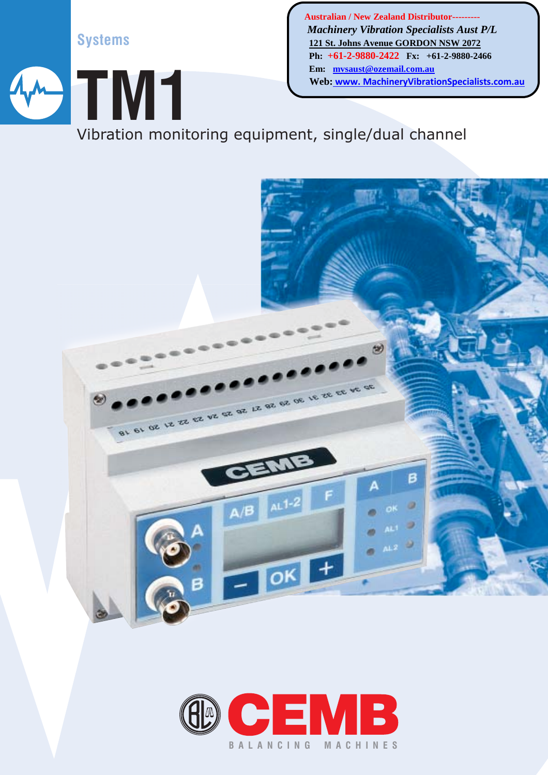**Systems**

 **Australian / New Zealand Distributor---------**  *Machinery Vibration Specialists Aust P/L* **121 St. Johns Avenue GORDON NSW 2072 Ph: +61-2-9880-2422 Fx: +61-2-9880-2466 Em: mvsaust@ozemail.com.au Web: www. MachineryVibrationSpecialists.com.au**

Vibration monitoring equipment, single/dual channel **TM1**



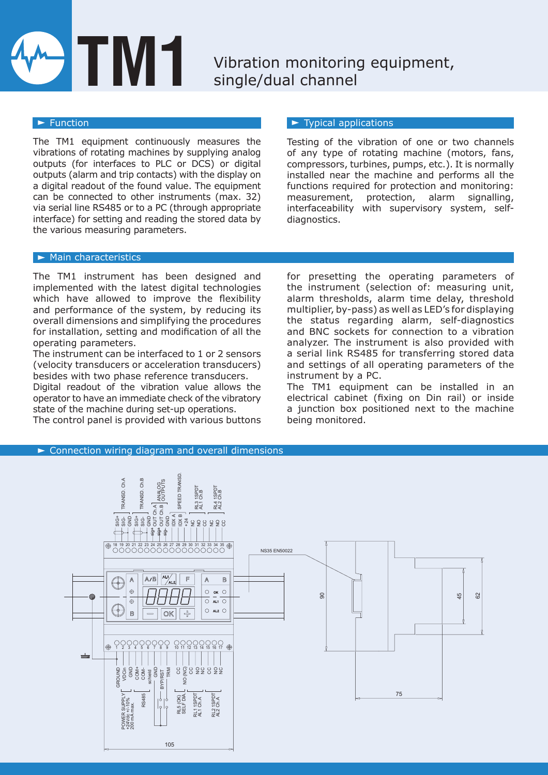# **TM1**

# Vibration monitoring equipment, single/dual channel

#### $\blacktriangleright$  Function

The TM1 equipment continuously measures the vibrations of rotating machines by supplying analog outputs (for interfaces to PLC or DCS) or digital outputs (alarm and trip contacts) with the display on a digital readout of the found value. The equipment can be connected to other instruments (max. 32) via serial line RS485 or to a PC (through appropriate interface) for setting and reading the stored data by the various measuring parameters.

#### $\blacktriangleright$  Typical applications

Testing of the vibration of one or two channels of any type of rotating machine (motors, fans, compressors, turbines, pumps, etc.). It is normally installed near the machine and performs all the functions required for protection and monitoring: measurement, protection, alarm signalling, interfaceability with supervisory system, selfdiagnostics.

#### $\blacktriangleright$  Main characteristics

The TM1 instrument has been designed and implemented with the latest digital technologies which have allowed to improve the flexibility and performance of the system, by reducing its overall dimensions and simplifying the procedures for installation, setting and modification of all the operating parameters.

The instrument can be interfaced to 1 or 2 sensors (velocity transducers or acceleration transducers) besides with two phase reference transducers.

Digital readout of the vibration value allows the operator to have an immediate check of the vibratory state of the machine during set-up operations.

The control panel is provided with various buttons

for presetting the operating parameters of the instrument (selection of: measuring unit, alarm thresholds, alarm time delay, threshold multiplier, by-pass) as well as LED's for displaying the status regarding alarm, self-diagnostics and BNC sockets for connection to a vibration analyzer. The instrument is also provided with a serial link RS485 for transferring stored data and settings of all operating parameters of the instrument by a PC.

The TM1 equipment can be installed in an electrical cabinet (fixing on Din rail) or inside a junction box positioned next to the machine being monitored.



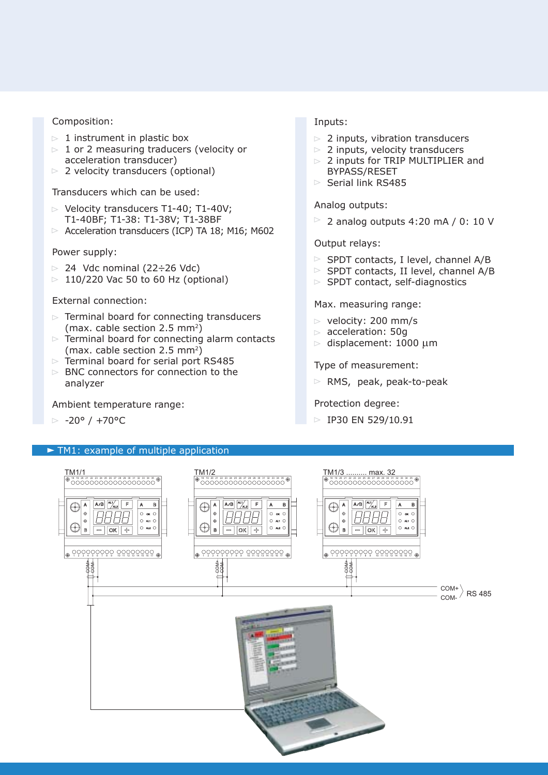#### Composition:

- $> 1$  instrument in plastic box
- $> 1$  or 2 measuring traducers (velocity or acceleration transducer)
- $\triangleright$  2 velocity transducers (optional)

Transducers which can be used:

- $\triangleright$  Velocity transducers T1-40; T1-40V; T1-40BF; T1-38: T1-38V; T1-38BF
- $\triangleright$  Acceleration transducers (ICP) TA 18; M16; M602

#### Power supply:

- $> 24$  Vdc nominal (22 $\div$ 26 Vdc)
- $> 110/220$  Vac 50 to 60 Hz (optional)

#### External connection:

- $\triangleright$  Terminal board for connecting transducers (max. cable section 2.5 mm2)
- $\triangleright$  Terminal board for connecting alarm contacts (max. cable section 2.5 mm<sup>2</sup>)
- $\triangleright$  Terminal board for serial port RS485
- $\triangleright$  BNC connectors for connection to the analyzer

Ambient temperature range:

 $> -20^{\circ}$  /  $+70^{\circ}$ C

#### TM1: example of multiple application

#### Inputs:

- $>$  2 inputs, vibration transducers
- $> 2$  inputs, velocity transducers
- $> 2$  inputs for TRIP MULTIPLIER and BYPASS/RESET
- $\triangleright$  Serial link RS485

Analog outputs:

 $\geq$  2 analog outputs 4:20 mA / 0: 10 V

#### Output relays:

- $\triangleright$  SPDT contacts, I level, channel A/B
- $\triangleright$  SPDT contacts, II level, channel A/B
- $\triangleright$  SPDT contact, self-diagnostics

#### Max. measuring range:

- $\triangleright$  velocity: 200 mm/s
- $\triangleright$  acceleration: 50g
- $\triangleright$  displacement: 1000 µm

#### Type of measurement:

 $\triangleright$  RMS, peak, peak-to-peak

#### Protection degree:

 $\triangleright$  IP30 EN 529/10.91